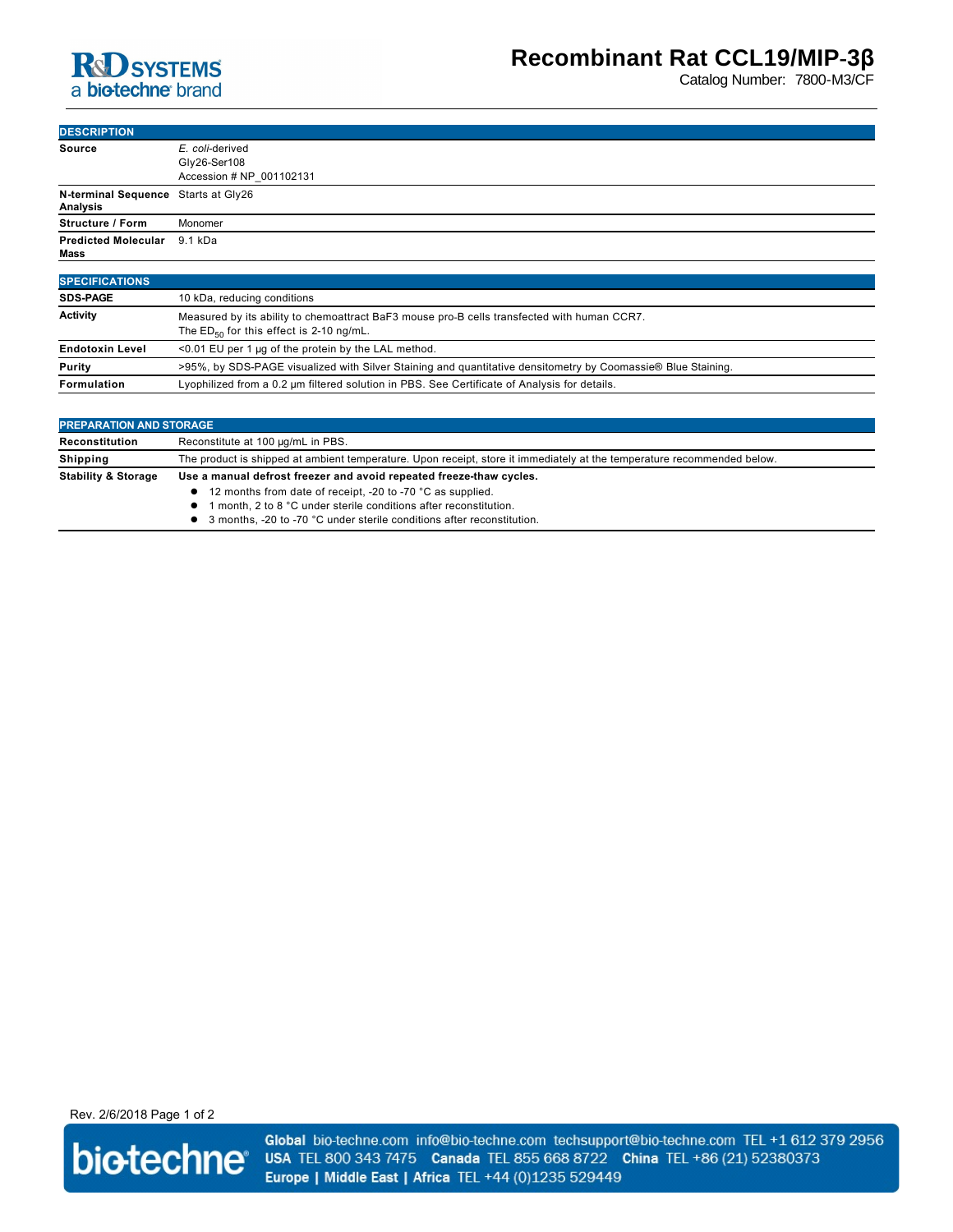

Catalog Number: 7800-M3/CF

| <b>DESCRIPTION</b>                                     |                                                                                                |
|--------------------------------------------------------|------------------------------------------------------------------------------------------------|
| <b>Source</b>                                          | E. coli-derived<br>Gly26-Ser108<br>Accession # NP 001102131                                    |
| N-terminal Sequence Starts at Gly26<br><b>Analysis</b> |                                                                                                |
| <b>Structure / Form</b>                                | Monomer                                                                                        |
| <b>Predicted Molecular</b><br>Mass                     | 9.1 kDa                                                                                        |
| <b>SPECIFICATIONS</b>                                  |                                                                                                |
| <b>SDS-PAGE</b>                                        | 10 kDa, reducing conditions                                                                    |
| Activity                                               | Magazined builte ability to chomogethead DeEQ movies and Disalle transfected with burners CODZ |

| <b>AVUVILY</b>         | $\mu$ iversured by its ability to criefficially actribers incuse pro-D cells transfected with human CCRT.<br>The $ED_{50}$ for this effect is 2-10 ng/mL. |
|------------------------|-----------------------------------------------------------------------------------------------------------------------------------------------------------|
| <b>Endotoxin Level</b> | <0.01 EU per 1 µg of the protein by the LAL method.                                                                                                       |
| <b>Purity</b>          | >95%, by SDS-PAGE visualized with Silver Staining and quantitative densitometry by Coomassie® Blue Staining.                                              |
| Formulation            | Lyophilized from a 0.2 um filtered solution in PBS. See Certificate of Analysis for details.                                                              |

| <b>PREPARATION AND STORAGE</b> |                                                                                                                         |  |
|--------------------------------|-------------------------------------------------------------------------------------------------------------------------|--|
| Reconstitution                 | Reconstitute at 100 µg/mL in PBS.                                                                                       |  |
| <b>Shipping</b>                | The product is shipped at ambient temperature. Upon receipt, store it immediately at the temperature recommended below. |  |
| <b>Stability &amp; Storage</b> | Use a manual defrost freezer and avoid repeated freeze-thaw cycles.                                                     |  |
|                                | • 12 months from date of receipt, -20 to -70 °C as supplied.                                                            |  |
|                                | month, 2 to 8 °C under sterile conditions after reconstitution.                                                         |  |
|                                | 3 months, -20 to -70 °C under sterile conditions after reconstitution.                                                  |  |

Rev. 2/6/2018 Page 1 of 2



Global bio-techne.com info@bio-techne.com techsupport@bio-techne.com TEL +1 612 379 2956 USA TEL 800 343 7475 Canada TEL 855 668 8722 China TEL +86 (21) 52380373 Europe | Middle East | Africa TEL +44 (0)1235 529449